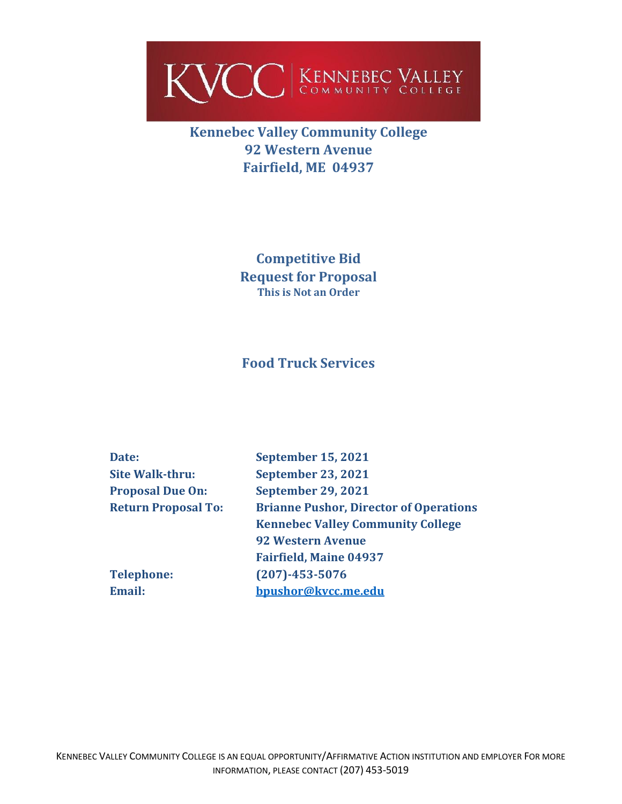

# **Kennebec Valley Community College 92 Western Avenue Fairfield, ME 04937**

**Competitive Bid Request for Proposal This is Not an Order**

## **Food Truck Services**

| Date:                      | <b>September 15, 2021</b>                     |
|----------------------------|-----------------------------------------------|
| <b>Site Walk-thru:</b>     | <b>September 23, 2021</b>                     |
| <b>Proposal Due On:</b>    | <b>September 29, 2021</b>                     |
| <b>Return Proposal To:</b> | <b>Brianne Pushor, Director of Operations</b> |
|                            | <b>Kennebec Valley Community College</b>      |
|                            | <b>92 Western Avenue</b>                      |
|                            | <b>Fairfield, Maine 04937</b>                 |
| <b>Telephone:</b>          | $(207) - 453 - 5076$                          |
| Email:                     | bpushor@kvcc.me.edu                           |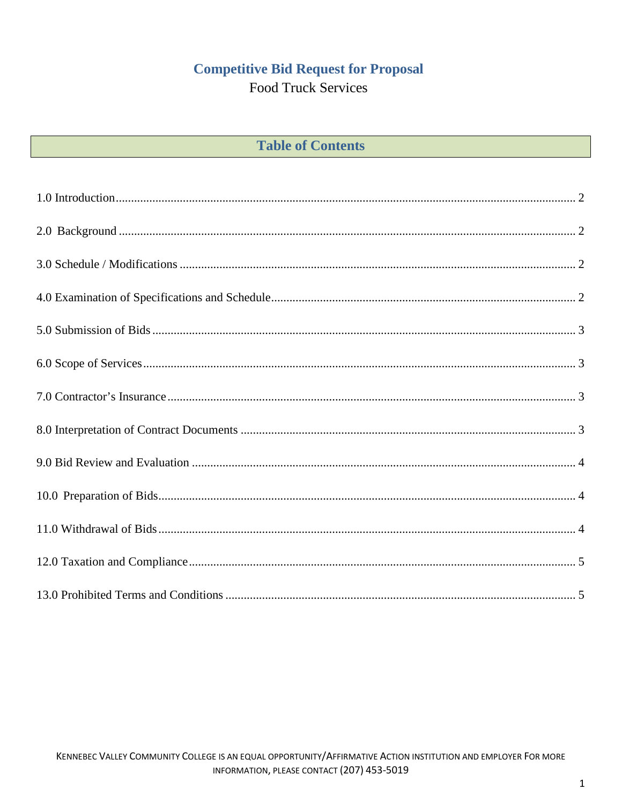# **Competitive Bid Request for Proposal**

**Food Truck Services** 

| <b>Table of Contents</b> |  |  |  |
|--------------------------|--|--|--|
|--------------------------|--|--|--|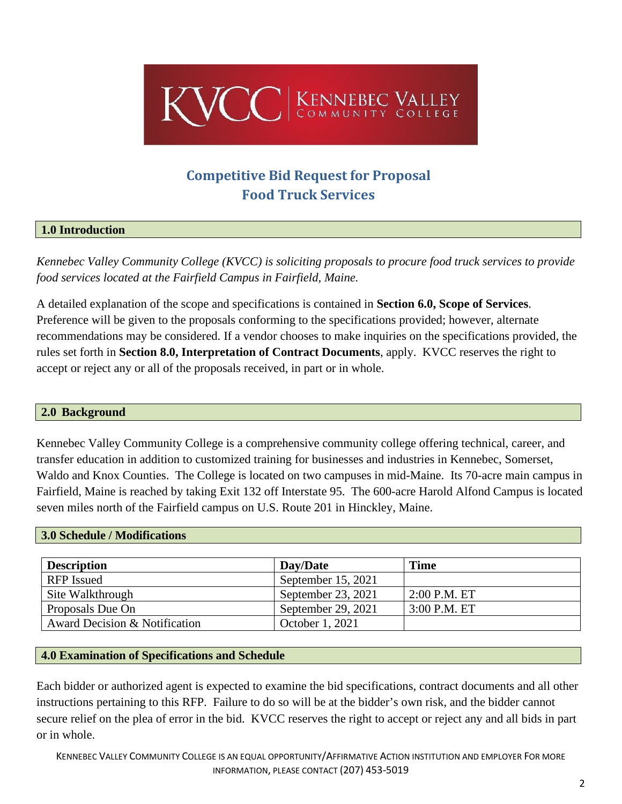

# **Competitive Bid Request for Proposal Food Truck Services**

#### <span id="page-2-0"></span>**1.0 Introduction**

*Kennebec Valley Community College (KVCC) is soliciting proposals to procure food truck services to provide food services located at the Fairfield Campus in Fairfield, Maine.*

A detailed explanation of the scope and specifications is contained in **Section 6.0, Scope of Services**. Preference will be given to the proposals conforming to the specifications provided; however, alternate recommendations may be considered. If a vendor chooses to make inquiries on the specifications provided, the rules set forth in **Section 8.0, Interpretation of Contract Documents**, apply. KVCC reserves the right to accept or reject any or all of the proposals received, in part or in whole.

#### <span id="page-2-1"></span>**2.0 Background**

Kennebec Valley Community College is a comprehensive community college offering technical, career, and transfer education in addition to customized training for businesses and industries in Kennebec, Somerset, Waldo and Knox Counties. The College is located on two campuses in mid-Maine. Its 70-acre main campus in Fairfield, Maine is reached by taking Exit 132 off Interstate 95. The 600-acre Harold Alfond Campus is located seven miles north of the Fairfield campus on U.S. Route 201 in Hinckley, Maine.

#### <span id="page-2-2"></span>**3.0 Schedule / Modifications**

| <b>Description</b>            | Dav/Date           | <b>Time</b>    |
|-------------------------------|--------------------|----------------|
| <b>RFP</b> Issued             | September 15, 2021 |                |
| Site Walkthrough              | September 23, 2021 | $2:00$ P.M. ET |
| Proposals Due On              | September 29, 2021 | $3:00$ P.M. ET |
| Award Decision & Notification | October 1, 2021    |                |

#### <span id="page-2-3"></span>**4.0 Examination of Specifications and Schedule**

Each bidder or authorized agent is expected to examine the bid specifications, contract documents and all other instructions pertaining to this RFP. Failure to do so will be at the bidder's own risk, and the bidder cannot secure relief on the plea of error in the bid. KVCC reserves the right to accept or reject any and all bids in part or in whole.

KENNEBEC VALLEY COMMUNITY COLLEGE IS AN EQUAL OPPORTUNITY/AFFIRMATIVE ACTION INSTITUTION AND EMPLOYER FOR MORE INFORMATION, PLEASE CONTACT (207) 453-5019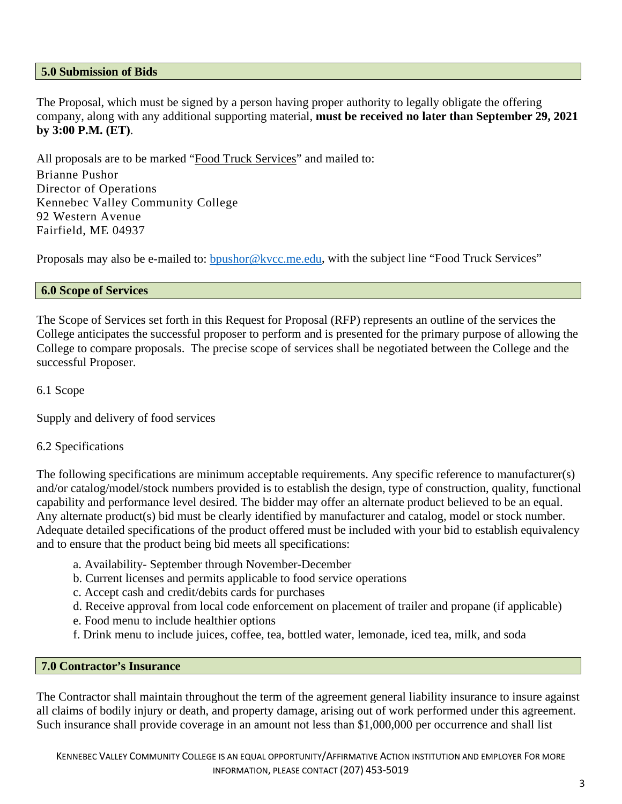#### <span id="page-3-0"></span>**5.0 Submission of Bids**

The Proposal, which must be signed by a person having proper authority to legally obligate the offering company, along with any additional supporting material, **must be received no later than September 29, 2021 by 3:00 P.M. (ET)**.

All proposals are to be marked "Food Truck Services" and mailed to:

Brianne Pushor Director of Operations Kennebec Valley Community College 92 Western Avenue Fairfield, ME 04937

Proposals may also be e-mailed to: **bpushor@kvcc.me.edu**, with the subject line "Food Truck Services"

#### <span id="page-3-1"></span>**6.0 Scope of Services**

The Scope of Services set forth in this Request for Proposal (RFP) represents an outline of the services the College anticipates the successful proposer to perform and is presented for the primary purpose of allowing the College to compare proposals. The precise scope of services shall be negotiated between the College and the successful Proposer.

6.1 Scope

Supply and delivery of food services

#### 6.2 Specifications

The following specifications are minimum acceptable requirements. Any specific reference to manufacturer(s) and/or catalog/model/stock numbers provided is to establish the design, type of construction, quality, functional capability and performance level desired. The bidder may offer an alternate product believed to be an equal. Any alternate product(s) bid must be clearly identified by manufacturer and catalog, model or stock number. Adequate detailed specifications of the product offered must be included with your bid to establish equivalency and to ensure that the product being bid meets all specifications:

- a. Availability- September through November-December
- b. Current licenses and permits applicable to food service operations
- c. Accept cash and credit/debits cards for purchases
- d. Receive approval from local code enforcement on placement of trailer and propane (if applicable)
- e. Food menu to include healthier options
- f. Drink menu to include juices, coffee, tea, bottled water, lemonade, iced tea, milk, and soda

#### <span id="page-3-2"></span>**7.0 Contractor's Insurance**

<span id="page-3-3"></span>The Contractor shall maintain throughout the term of the agreement general liability insurance to insure against all claims of bodily injury or death, and property damage, arising out of work performed under this agreement. Such insurance shall provide coverage in an amount not less than \$1,000,000 per occurrence and shall list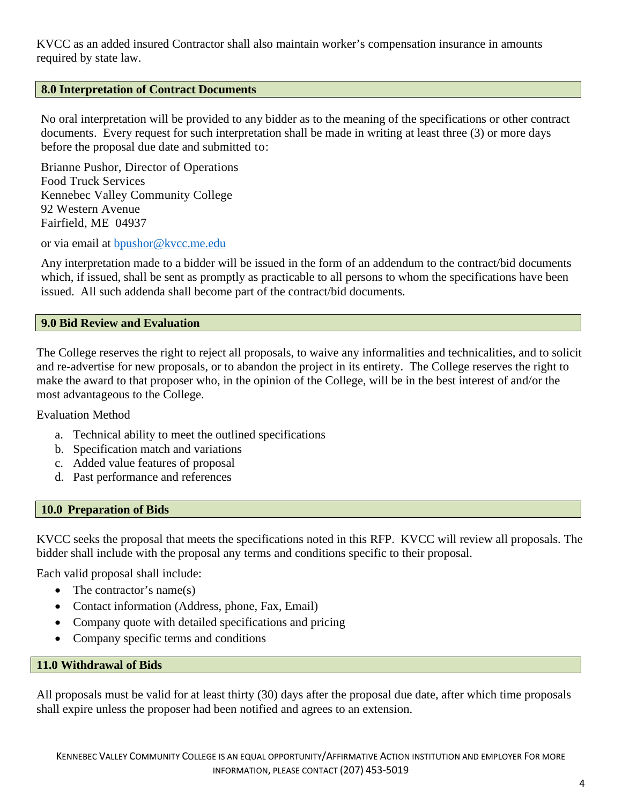KVCC as an added insured Contractor shall also maintain worker's compensation insurance in amounts required by state law.

#### **8.0 Interpretation of Contract Documents**

No oral interpretation will be provided to any bidder as to the meaning of the specifications or other contract documents. Every request for such interpretation shall be made in writing at least three (3) or more days before the proposal due date and submitted to:

Brianne Pushor, Director of Operations Food Truck Services Kennebec Valley Community College 92 Western Avenue Fairfield, ME 04937

or via email at [bpushor@kvcc.me.edu](mailto:bpushor@kvcc.me.edu)

Any interpretation made to a bidder will be issued in the form of an addendum to the contract/bid documents which, if issued, shall be sent as promptly as practicable to all persons to whom the specifications have been issued. All such addenda shall become part of the contract/bid documents.

#### <span id="page-4-0"></span>**9.0 Bid Review and Evaluation**

The College reserves the right to reject all proposals, to waive any informalities and technicalities, and to solicit and re-advertise for new proposals, or to abandon the project in its entirety. The College reserves the right to make the award to that proposer who, in the opinion of the College, will be in the best interest of and/or the most advantageous to the College.

#### Evaluation Method

- a. Technical ability to meet the outlined specifications
- b. Specification match and variations
- c. Added value features of proposal
- d. Past performance and references

#### <span id="page-4-1"></span>**10.0 Preparation of Bids**

KVCC seeks the proposal that meets the specifications noted in this RFP. KVCC will review all proposals. The bidder shall include with the proposal any terms and conditions specific to their proposal.

Each valid proposal shall include:

- The contractor's name(s)
- Contact information (Address, phone, Fax, Email)
- Company quote with detailed specifications and pricing
- Company specific terms and conditions

#### <span id="page-4-2"></span>**11.0 Withdrawal of Bids**

All proposals must be valid for at least thirty (30) days after the proposal due date, after which time proposals shall expire unless the proposer had been notified and agrees to an extension.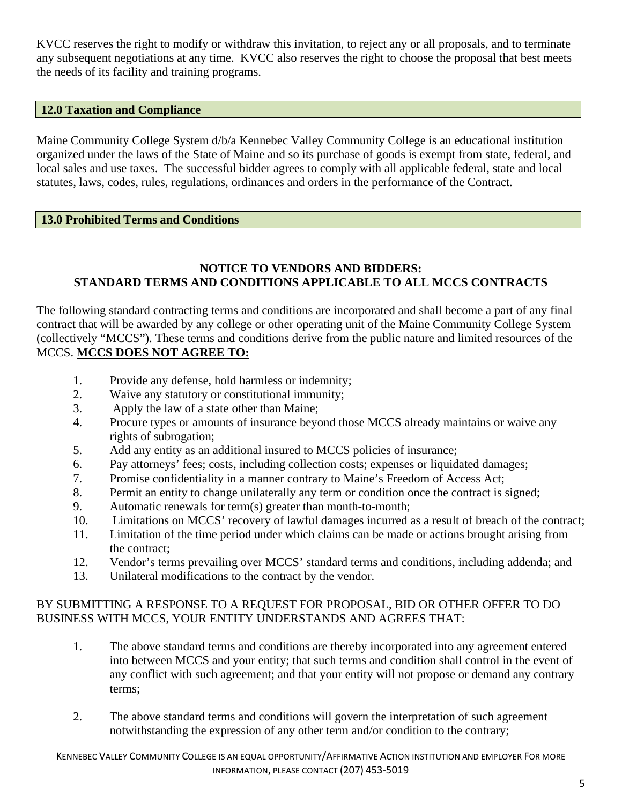KVCC reserves the right to modify or withdraw this invitation, to reject any or all proposals, and to terminate any subsequent negotiations at any time. KVCC also reserves the right to choose the proposal that best meets the needs of its facility and training programs.

### <span id="page-5-0"></span>**12.0 Taxation and Compliance**

Maine Community College System d/b/a Kennebec Valley Community College is an educational institution organized under the laws of the State of Maine and so its purchase of goods is exempt from state, federal, and local sales and use taxes. The successful bidder agrees to comply with all applicable federal, state and local statutes, laws, codes, rules, regulations, ordinances and orders in the performance of the Contract.

#### <span id="page-5-1"></span>**13.0 Prohibited Terms and Conditions**

### **NOTICE TO VENDORS AND BIDDERS: STANDARD TERMS AND CONDITIONS APPLICABLE TO ALL MCCS CONTRACTS**

The following standard contracting terms and conditions are incorporated and shall become a part of any final contract that will be awarded by any college or other operating unit of the Maine Community College System (collectively "MCCS"). These terms and conditions derive from the public nature and limited resources of the MCCS. **MCCS DOES NOT AGREE TO:**

- 1. Provide any defense, hold harmless or indemnity;
- 2. Waive any statutory or constitutional immunity;
- 3. Apply the law of a state other than Maine;
- 4. Procure types or amounts of insurance beyond those MCCS already maintains or waive any rights of subrogation;
- 5. Add any entity as an additional insured to MCCS policies of insurance;
- 6. Pay attorneys' fees; costs, including collection costs; expenses or liquidated damages;
- 7. Promise confidentiality in a manner contrary to Maine's Freedom of Access Act;
- 8. Permit an entity to change unilaterally any term or condition once the contract is signed;
- 9. Automatic renewals for term(s) greater than month-to-month;
- 10. Limitations on MCCS' recovery of lawful damages incurred as a result of breach of the contract;
- 11. Limitation of the time period under which claims can be made or actions brought arising from the contract;
- 12. Vendor's terms prevailing over MCCS' standard terms and conditions, including addenda; and
- 13. Unilateral modifications to the contract by the vendor.

### BY SUBMITTING A RESPONSE TO A REQUEST FOR PROPOSAL, BID OR OTHER OFFER TO DO BUSINESS WITH MCCS, YOUR ENTITY UNDERSTANDS AND AGREES THAT:

- 1. The above standard terms and conditions are thereby incorporated into any agreement entered into between MCCS and your entity; that such terms and condition shall control in the event of any conflict with such agreement; and that your entity will not propose or demand any contrary terms;
- 2. The above standard terms and conditions will govern the interpretation of such agreement notwithstanding the expression of any other term and/or condition to the contrary;